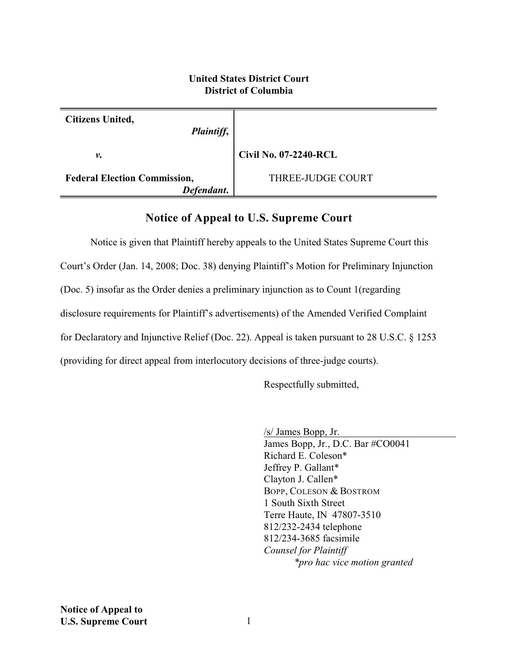## **United States District Court District of Columbia**

| Citizens United,<br>Plaintiff,                    |                              |
|---------------------------------------------------|------------------------------|
| ν.                                                | <b>Civil No. 07-2240-RCL</b> |
| <b>Federal Election Commission,</b><br>Defendant. | THREE-JUDGE COURT            |

## **Notice of Appeal to U.S. Supreme Court**

Notice is given that Plaintiff hereby appeals to the United States Supreme Court this Court's Order (Jan. 14, 2008; Doc. 38) denying Plaintiff's Motion for Preliminary Injunction (Doc. 5) insofar as the Order denies a preliminary injunction as to Count 1(regarding disclosure requirements for Plaintiff's advertisements) of the Amended Verified Complaint for Declaratory and Injunctive Relief (Doc. 22). Appeal is taken pursuant to 28 U.S.C. § 1253 (providing for direct appeal from interlocutory decisions of three-judge courts).

Respectfully submitted,

/s/ James Bopp, Jr.

James Bopp, Jr., D.C. Bar #CO0041 Richard E. Coleson\* Jeffrey P. Gallant\* Clayton J. Callen\* BOPP, COLESON & BOSTROM 1 South Sixth Street Terre Haute, IN 47807-3510 812/232-2434 telephone 812/234-3685 facsimile *Counsel for Plaintiff \*pro hac vice motion granted*